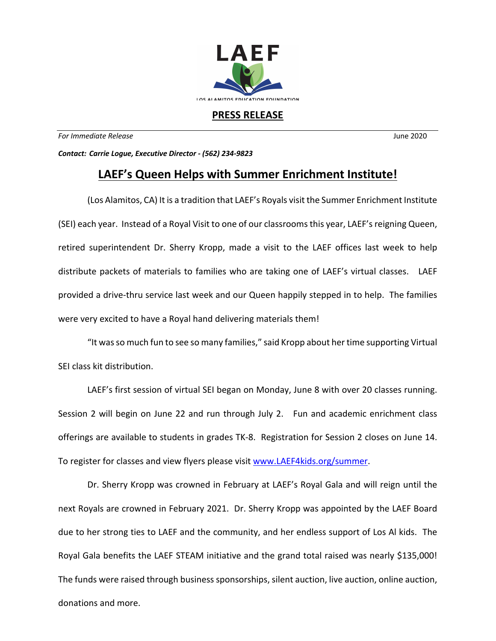

## **PRESS RELEASE**

*For Immediate Release* June 2020

*Contact: Carrie Logue, Executive Director - (562) 234-9823*

## **LAEF's Queen Helps with Summer Enrichment Institute!**

(Los Alamitos, CA) It is a tradition that LAEF's Royals visit the Summer Enrichment Institute (SEI) each year. Instead of a Royal Visit to one of our classroomsthis year, LAEF's reigning Queen, retired superintendent Dr. Sherry Kropp, made a visit to the LAEF offices last week to help distribute packets of materials to families who are taking one of LAEF's virtual classes. LAEF provided a drive-thru service last week and our Queen happily stepped in to help. The families were very excited to have a Royal hand delivering materials them!

"It was so much fun to see so many families," said Kropp about her time supporting Virtual SEI class kit distribution.

LAEF's first session of virtual SEI began on Monday, June 8 with over 20 classes running. Session 2 will begin on June 22 and run through July 2. Fun and academic enrichment class offerings are available to students in grades TK-8. Registration for Session 2 closes on June 14. To register for classes and view flyers please visit www.LAEF4kids.org/summer.

Dr. Sherry Kropp was crowned in February at LAEF's Royal Gala and will reign until the next Royals are crowned in February 2021. Dr. Sherry Kropp was appointed by the LAEF Board due to her strong ties to LAEF and the community, and her endless support of Los Al kids. The Royal Gala benefits the LAEF STEAM initiative and the grand total raised was nearly \$135,000! The funds were raised through business sponsorships, silent auction, live auction, online auction, donations and more.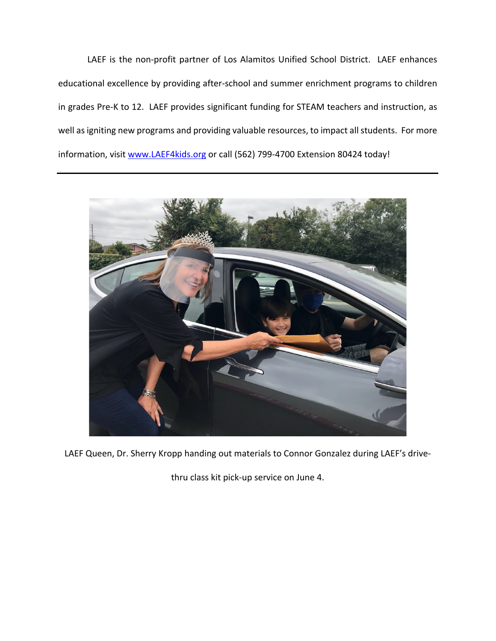LAEF is the non-profit partner of Los Alamitos Unified School District. LAEF enhances educational excellence by providing after-school and summer enrichment programs to children in grades Pre-K to 12. LAEF provides significant funding for STEAM teachers and instruction, as well as igniting new programs and providing valuable resources, to impact all students. For more information, visit www.LAEF4kids.org or call (562) 799-4700 Extension 80424 today!



LAEF Queen, Dr. Sherry Kropp handing out materials to Connor Gonzalez during LAEF's drive-

thru class kit pick-up service on June 4.